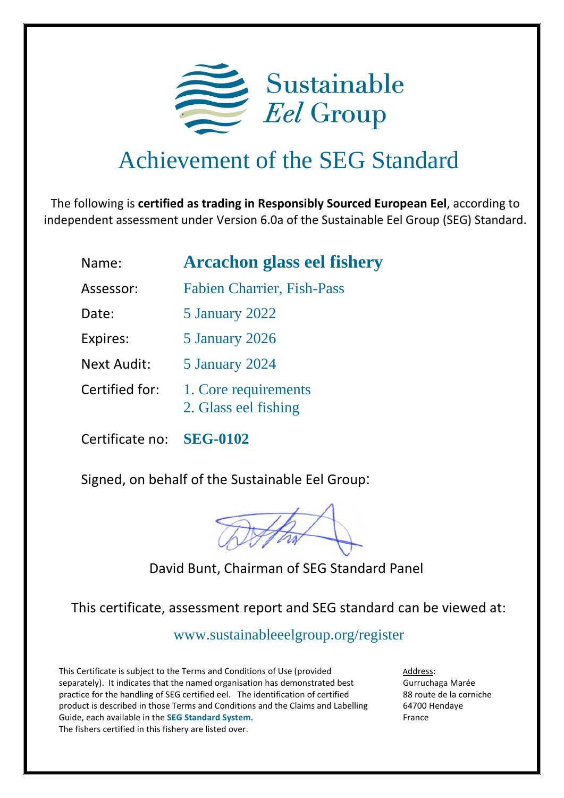

## Achievement of the SEG Standard

The following is **certified as trading in Responsibly Sourced European Eel**, according to independent assessment under Version 6.0a of the Sustainable Eel Group (SEG) Standard.

| Name:              | <b>Arcachon glass eel fishery</b>            |  |
|--------------------|----------------------------------------------|--|
| Assessor:          | <b>Fabien Charrier, Fish-Pass</b>            |  |
| Date:              | 5 January 2022                               |  |
| Expires:           | 5 January 2026                               |  |
| <b>Next Audit:</b> | 5 January 2024                               |  |
| Certified for:     | 1. Core requirements<br>2. Glass eel fishing |  |

Certificate no: **SEG-0102**

Signed, on behalf of the Sustainable Eel Group:

David Bunt, Chairman of SEG Standard Panel

This certificate, assessment report and SEG standard can be viewed at:

<www.sustainableeelgroup.org/register>

This Certificate is subject to the Terms and Conditions of Use (provided separately). It indicates that the named organisation has demonstrated best practice for the handling of SEG certified eel. The identification of certified product is described in those Terms and Conditions and the Claims and Labelling Guide, each available in the **[SEG Standard System](https://www.sustainableeelgroup.org/the-seg-standard-system/)**. The fishers certified in this fishery are listed over.

Address: Gurruchaga Marée 88 route de la corniche 64700 Hendaye France